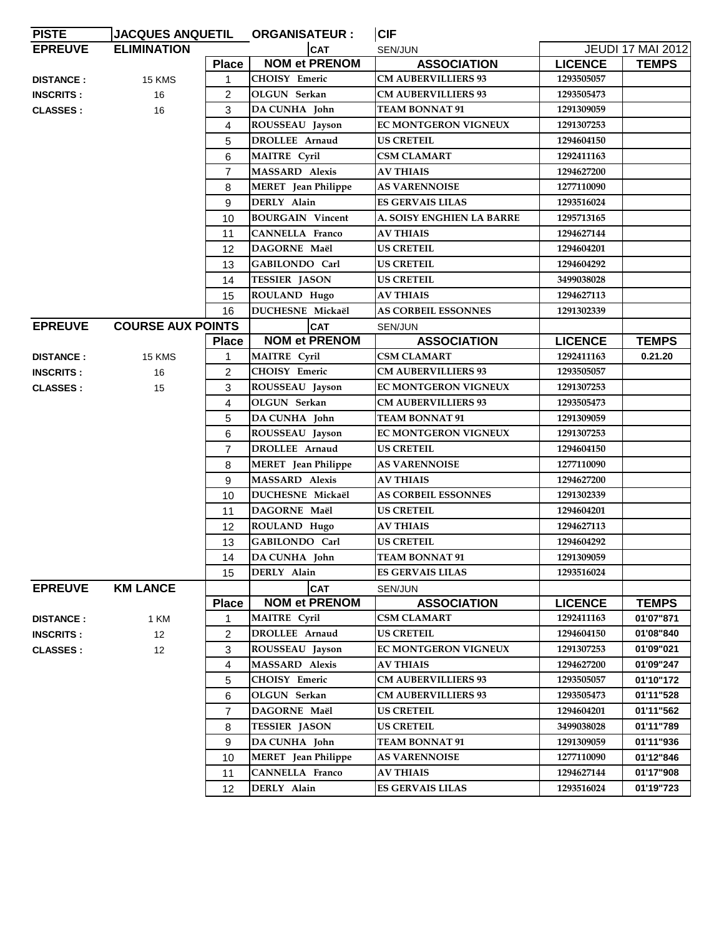| <b>PISTE</b>     | <b>JACQUES ANQUETIL</b>  |                | <b>ORGANISATEUR :</b>      | <b>CIF</b>                  |                |                          |
|------------------|--------------------------|----------------|----------------------------|-----------------------------|----------------|--------------------------|
| <b>EPREUVE</b>   | <b>ELIMINATION</b>       |                | CAT                        | SEN/JUN                     |                | <b>JEUDI 17 MAI 2012</b> |
|                  |                          | <b>Place</b>   | <b>NOM et PRENOM</b>       | <b>ASSOCIATION</b>          | <b>LICENCE</b> | <b>TEMPS</b>             |
| <b>DISTANCE:</b> | 15 KMS                   | $\mathbf{1}$   | <b>CHOISY Emeric</b>       | <b>CM AUBERVILLIERS 93</b>  | 1293505057     |                          |
| <b>INSCRITS:</b> | 16                       | $\overline{2}$ | OLGUN Serkan               | <b>CM AUBERVILLIERS 93</b>  | 1293505473     |                          |
| <b>CLASSES:</b>  | 16                       | 3              | DA CUNHA John              | <b>TEAM BONNAT 91</b>       | 1291309059     |                          |
|                  |                          | 4              | ROUSSEAU Jayson            | EC MONTGERON VIGNEUX        | 1291307253     |                          |
|                  |                          | 5              | <b>DROLLEE</b> Arnaud      | <b>US CRETEIL</b>           | 1294604150     |                          |
|                  |                          | 6              | <b>MAITRE</b> Cyril        | CSM CLAMART                 | 1292411163     |                          |
|                  |                          | $\overline{7}$ | <b>MASSARD Alexis</b>      | <b>AV THIAIS</b>            | 1294627200     |                          |
|                  |                          | 8              | <b>MERET</b> Jean Philippe | <b>AS VARENNOISE</b>        | 1277110090     |                          |
|                  |                          | 9              | DERLY Alain                | <b>ES GERVAIS LILAS</b>     | 1293516024     |                          |
|                  |                          | 10             | <b>BOURGAIN Vincent</b>    | A. SOISY ENGHIEN LA BARRE   | 1295713165     |                          |
|                  |                          | 11             | <b>CANNELLA Franco</b>     | <b>AV THIAIS</b>            | 1294627144     |                          |
|                  |                          | 12             | DAGORNE Maël               | <b>US CRETEIL</b>           | 1294604201     |                          |
|                  |                          | 13             | GABILONDO Carl             | <b>US CRETEIL</b>           | 1294604292     |                          |
|                  |                          | 14             | <b>TESSIER JASON</b>       | <b>US CRETEIL</b>           | 3499038028     |                          |
|                  |                          | 15             | ROULAND Hugo               | <b>AV THIAIS</b>            | 1294627113     |                          |
|                  |                          | 16             | <b>DUCHESNE Mickaël</b>    | <b>AS CORBEIL ESSONNES</b>  | 1291302339     |                          |
| <b>EPREUVE</b>   | <b>COURSE AUX POINTS</b> |                | <b>CAT</b>                 | SEN/JUN                     |                |                          |
|                  |                          | <b>Place</b>   | <b>NOM et PRENOM</b>       | <b>ASSOCIATION</b>          | <b>LICENCE</b> | <b>TEMPS</b>             |
| <b>DISTANCE:</b> | 15 KMS                   | 1              | <b>MAITRE</b> Cyril        | CSM CLAMART                 | 1292411163     | 0.21.20                  |
| <b>INSCRITS:</b> | 16                       | $\overline{2}$ | CHOISY Emeric              | <b>CM AUBERVILLIERS 93</b>  | 1293505057     |                          |
| <b>CLASSES:</b>  | 15                       | 3              | ROUSSEAU Jayson            | EC MONTGERON VIGNEUX        | 1291307253     |                          |
|                  |                          | 4              | OLGUN Serkan               | <b>CM AUBERVILLIERS 93</b>  | 1293505473     |                          |
|                  |                          | 5              | DA CUNHA John              | <b>TEAM BONNAT 91</b>       | 1291309059     |                          |
|                  |                          | 6              | ROUSSEAU Jayson            | <b>EC MONTGERON VIGNEUX</b> | 1291307253     |                          |
|                  |                          | $\overline{7}$ | <b>DROLLEE</b> Arnaud      | <b>US CRETEIL</b>           | 1294604150     |                          |
|                  |                          | 8              | <b>MERET</b> Jean Philippe | <b>AS VARENNOISE</b>        | 1277110090     |                          |
|                  |                          | 9              | <b>MASSARD Alexis</b>      | <b>AV THIAIS</b>            | 1294627200     |                          |
|                  |                          | 10             | <b>DUCHESNE Mickaël</b>    | <b>AS CORBEIL ESSONNES</b>  | 1291302339     |                          |
|                  |                          | 11             | DAGORNE Maël               | <b>US CRETEIL</b>           | 1294604201     |                          |
|                  |                          | 12             | ROULAND Hugo               | <b>AV THIAIS</b>            | 1294627113     |                          |
|                  |                          | 13             | GABILONDO Carl             | <b>US CRETEIL</b>           | 1294604292     |                          |
|                  |                          | 14             | DA CUNHA John              | <b>TEAM BONNAT 91</b>       | 1291309059     |                          |
|                  |                          | 15             | DERLY Alain                | <b>ES GERVAIS LILAS</b>     | 1293516024     |                          |
| <b>EPREUVE</b>   | <b>KM LANCE</b>          |                | <b>CAT</b>                 | SEN/JUN                     |                |                          |
|                  |                          | <b>Place</b>   | <b>NOM et PRENOM</b>       | <b>ASSOCIATION</b>          | <b>LICENCE</b> | <b>TEMPS</b>             |
| <b>DISTANCE:</b> | 1 KM                     | 1              | <b>MAITRE</b> Cyril        | CSM CLAMART                 | 1292411163     | 01'07"871                |
| <b>INSCRITS:</b> | 12 <sup>°</sup>          | $\overline{2}$ | <b>DROLLEE</b> Arnaud      | <b>US CRETEIL</b>           | 1294604150     | 01'08"840                |
| <b>CLASSES:</b>  | 12                       | 3              | ROUSSEAU Jayson            | EC MONTGERON VIGNEUX        | 1291307253     | 01'09"021                |
|                  |                          | 4              | <b>MASSARD Alexis</b>      | <b>AV THIAIS</b>            | 1294627200     | 01'09"247                |
|                  |                          | 5              | <b>CHOISY Emeric</b>       | <b>CM AUBERVILLIERS 93</b>  | 1293505057     | 01'10"172                |
|                  |                          | 6              | OLGUN Serkan               | <b>CM AUBERVILLIERS 93</b>  | 1293505473     | 01'11"528                |
|                  |                          | $\overline{7}$ | DAGORNE Maël               | US CRETEIL                  | 1294604201     | 01'11"562                |
|                  |                          | 8              | <b>TESSIER JASON</b>       | <b>US CRETEIL</b>           | 3499038028     | 01'11"789                |
|                  |                          | 9              | DA CUNHA John              | <b>TEAM BONNAT 91</b>       | 1291309059     | 01'11"936                |
|                  |                          | 10             | <b>MERET</b> Jean Philippe | <b>AS VARENNOISE</b>        | 1277110090     | 01'12"846                |
|                  |                          | 11             | CANNELLA Franco            | <b>AV THIAIS</b>            | 1294627144     | 01'17"908                |
|                  |                          | 12             | DERLY Alain                | <b>ES GERVAIS LILAS</b>     | 1293516024     | 01'19"723                |